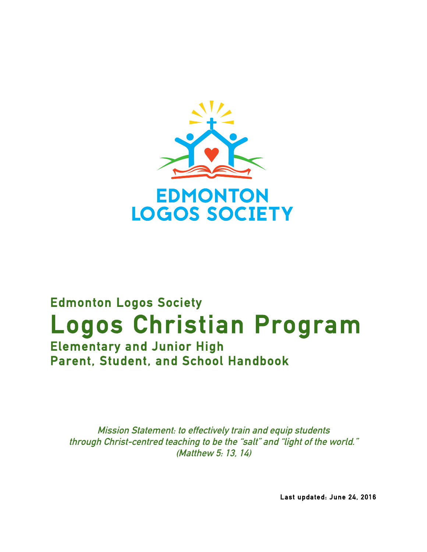

# **Edmonton Logos Society Logos Christian Program Elementary and Junior High Parent, Student, and School Handbook**

**Mission Statement: to effectively train and equip students through Christ-centred teaching to be the "salt" and "light of the world." (Matthew 5: 13, 14)**

 **Last updated: June 24, 2016**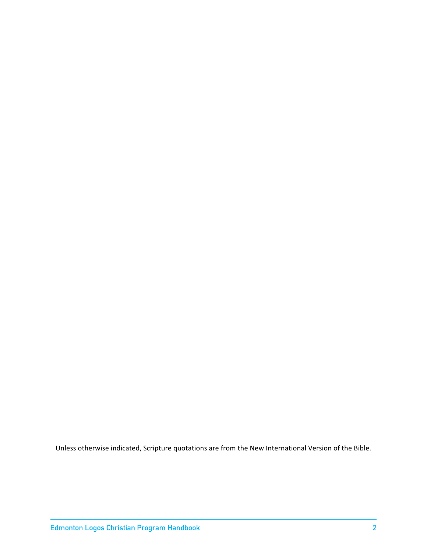Unless otherwise indicated, Scripture quotations are from the New International Version of the Bible.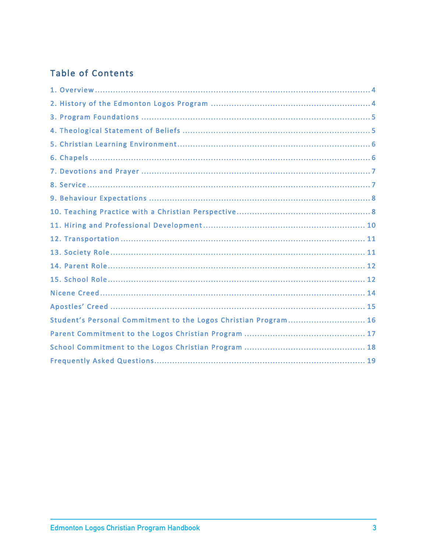# **Table of Contents**

| Student's Personal Commitment to the Logos Christian Program 16 |
|-----------------------------------------------------------------|
|                                                                 |
|                                                                 |
|                                                                 |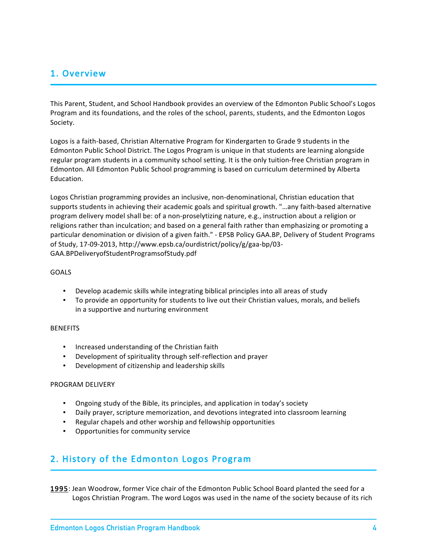### 1. Overview

This Parent, Student, and School Handbook provides an overview of the Edmonton Public School's Logos Program and its foundations, and the roles of the school, parents, students, and the Edmonton Logos Society.

Logos is a faith-based, Christian Alternative Program for Kindergarten to Grade 9 students in the Edmonton Public School District. The Logos Program is unique in that students are learning alongside regular program students in a community school setting. It is the only tuition-free Christian program in Edmonton. All Edmonton Public School programming is based on curriculum determined by Alberta Education.

Logos Christian programming provides an inclusive, non-denominational, Christian education that supports students in achieving their academic goals and spiritual growth. "…any faith-based alternative program delivery model shall be: of a non-proselytizing nature, e.g., instruction about a religion or religions rather than inculcation; and based on a general faith rather than emphasizing or promoting a particular denomination or division of a given faith." - EPSB Policy GAA.BP, Delivery of Student Programs of Study, 17-09-2013, http://www.epsb.ca/ourdistrict/policy/g/gaa-bp/03- GAA.BPDeliveryofStudentProgramsofStudy.pdf

#### GOALS

- Develop academic skills while integrating biblical principles into all areas of study
- To provide an opportunity for students to live out their Christian values, morals, and beliefs in a supportive and nurturing environment

#### BENEFITS

- Increased understanding of the Christian faith
- Development of spirituality through self-reflection and prayer
- Development of citizenship and leadership skills

#### PROGRAM DELIVERY

- Ongoing study of the Bible, its principles, and application in today's society
- Daily prayer, scripture memorization, and devotions integrated into classroom learning
- Regular chapels and other worship and fellowship opportunities
- Opportunities for community service

### 2. History of the Edmonton Logos Program

1995: Jean Woodrow, former Vice chair of the Edmonton Public School Board planted the seed for a Logos Christian Program. The word Logos was used in the name of the society because of its rich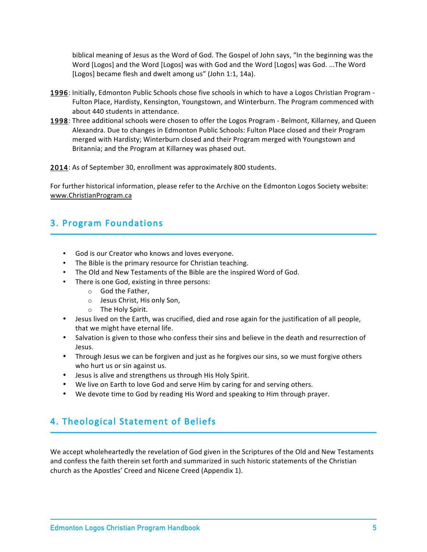biblical meaning of Jesus as the Word of God. The Gospel of John says, "In the beginning was the Word [Logos] and the Word [Logos] was with God and the Word [Logos] was God. ...The Word [Logos] became flesh and dwelt among us" (John 1:1, 14a).

- 1996: Initially, Edmonton Public Schools chose five schools in which to have a Logos Christian Program Fulton Place, Hardisty, Kensington, Youngstown, and Winterburn. The Program commenced with about 440 students in attendance.
- 1998: Three additional schools were chosen to offer the Logos Program Belmont, Killarney, and Queen Alexandra. Due to changes in Edmonton Public Schools: Fulton Place closed and their Program merged with Hardisty; Winterburn closed and their Program merged with Youngstown and Britannia; and the Program at Killarney was phased out.

2014: As of September 30, enrollment was approximately 800 students.

For further historical information, please refer to the Archive on the Edmonton Logos Society website: www.ChristianProgram.ca

# 3. Program Foundations

- God is our Creator who knows and loves everyone.
- The Bible is the primary resource for Christian teaching.
- The Old and New Testaments of the Bible are the inspired Word of God.
- There is one God, existing in three persons:
	- o God the Father,
	- o Jesus Christ, His only Son,
	- o The Holy Spirit.
- Jesus lived on the Earth, was crucified, died and rose again for the justification of all people, that we might have eternal life.
- Salvation is given to those who confess their sins and believe in the death and resurrection of Jesus.
- Through Jesus we can be forgiven and just as he forgives our sins, so we must forgive others who hurt us or sin against us.
- Jesus is alive and strengthens us through His Holy Spirit.
- We live on Earth to love God and serve Him by caring for and serving others.
- We devote time to God by reading His Word and speaking to Him through prayer.

# 4. Theological Statement of Beliefs

We accept wholeheartedly the revelation of God given in the Scriptures of the Old and New Testaments and confess the faith therein set forth and summarized in such historic statements of the Christian church as the Apostles' Creed and Nicene Creed (Appendix 1).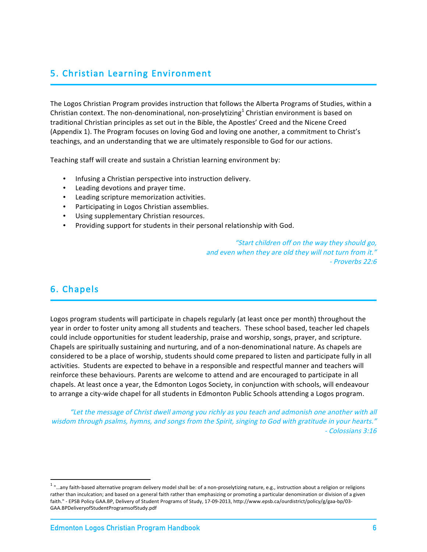# 5. Christian Learning Environment

The Logos Christian Program provides instruction that follows the Alberta Programs of Studies, within a Christian context. The non-denominational, non-proselytizing<sup>1</sup> Christian environment is based on traditional Christian principles as set out in the Bible, the Apostles' Creed and the Nicene Creed (Appendix 1). The Program focuses on loving God and loving one another, a commitment to Christ's teachings, and an understanding that we are ultimately responsible to God for our actions.

Teaching staff will create and sustain a Christian learning environment by:

- Infusing a Christian perspective into instruction delivery.
- Leading devotions and prayer time.
- Leading scripture memorization activities.
- Participating in Logos Christian assemblies.
- Using supplementary Christian resources.
- Providing support for students in their personal relationship with God.

"Start children off on the way they should go, and even when they are old they will not turn from it." - Proverbs 22:6

### 6. Chapels

Logos program students will participate in chapels regularly (at least once per month) throughout the year in order to foster unity among all students and teachers. These school based, teacher led chapels could include opportunities for student leadership, praise and worship, songs, prayer, and scripture. Chapels are spiritually sustaining and nurturing, and of a non-denominational nature. As chapels are considered to be a place of worship, students should come prepared to listen and participate fully in all activities. Students are expected to behave in a responsible and respectful manner and teachers will reinforce these behaviours. Parents are welcome to attend and are encouraged to participate in all chapels. At least once a year, the Edmonton Logos Society, in conjunction with schools, will endeavour to arrange a city-wide chapel for all students in Edmonton Public Schools attending a Logos program.

"Let the message of Christ dwell among you richly as you teach and admonish one another with all wisdom through psalms, hymns, and songs from the Spirit, singing to God with gratitude in your hearts." - Colossians 3:16

 $1$  "...any faith-based alternative program delivery model shall be: of a non-proselytizing nature, e.g., instruction about a religion or religions rather than inculcation; and based on a general faith rather than emphasizing or promoting a particular denomination or division of a given faith." - EPSB Policy GAA.BP, Delivery of Student Programs of Study, 17-09-2013, http://www.epsb.ca/ourdistrict/policy/g/gaa-bp/03- GAA.BPDeliveryofStudentProgramsofStudy.pdf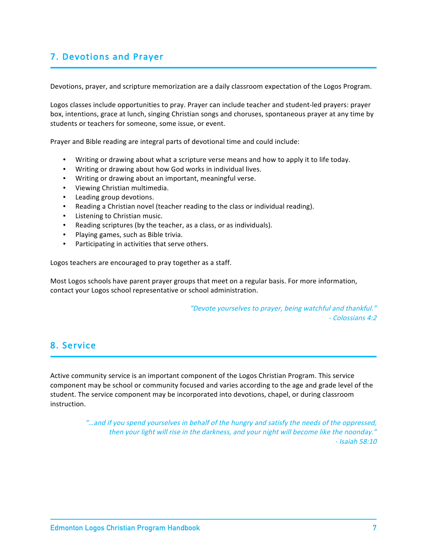# 7. Devotions and Prayer

Devotions, prayer, and scripture memorization are a daily classroom expectation of the Logos Program.

Logos classes include opportunities to pray. Prayer can include teacher and student-led prayers: prayer box, intentions, grace at lunch, singing Christian songs and choruses, spontaneous prayer at any time by students or teachers for someone, some issue, or event.

Prayer and Bible reading are integral parts of devotional time and could include:

- Writing or drawing about what a scripture verse means and how to apply it to life today.
- Writing or drawing about how God works in individual lives.
- Writing or drawing about an important, meaningful verse.
- Viewing Christian multimedia.
- Leading group devotions.
- Reading a Christian novel (teacher reading to the class or individual reading).
- Listening to Christian music.
- Reading scriptures (by the teacher, as a class, or as individuals).
- Playing games, such as Bible trivia.
- Participating in activities that serve others.

Logos teachers are encouraged to pray together as a staff.

Most Logos schools have parent prayer groups that meet on a regular basis. For more information, contact your Logos school representative or school administration.

> "Devote yourselves to prayer, being watchful and thankful." - Colossians 4:2

### 8. Service

Active community service is an important component of the Logos Christian Program. This service component may be school or community focused and varies according to the age and grade level of the student. The service component may be incorporated into devotions, chapel, or during classroom instruction.

> "…and if you spend yourselves in behalf of the hungry and satisfy the needs of the oppressed, then your light will rise in the darkness, and your night will become like the noonday." - Isaiah 58:10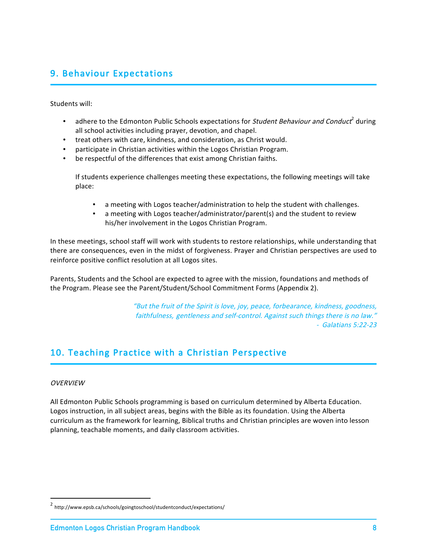# 9. Behaviour Expectations

Students will:

- adhere to the Edmonton Public Schools expectations for Student Behaviour and Conduct<sup>2</sup> during all school activities including prayer, devotion, and chapel.
- treat others with care, kindness, and consideration, as Christ would.
- participate in Christian activities within the Logos Christian Program.
- be respectful of the differences that exist among Christian faiths.

If students experience challenges meeting these expectations, the following meetings will take place:

- a meeting with Logos teacher/administration to help the student with challenges.
- a meeting with Logos teacher/administrator/parent(s) and the student to review his/her involvement in the Logos Christian Program.

In these meetings, school staff will work with students to restore relationships, while understanding that there are consequences, even in the midst of forgiveness. Prayer and Christian perspectives are used to reinforce positive conflict resolution at all Logos sites.

Parents, Students and the School are expected to agree with the mission, foundations and methods of the Program. Please see the Parent/Student/School Commitment Forms (Appendix 2).

> "But the fruit of the Spirit is love, joy, peace, forbearance, kindness, goodness, faithfulness, gentleness and self-control. Against such things there is no law." - Galatians 5:22-23

# 10. Teaching Practice with a Christian Perspective

#### **OVERVIEW**

All Edmonton Public Schools programming is based on curriculum determined by Alberta Education. Logos instruction, in all subject areas, begins with the Bible as its foundation. Using the Alberta curriculum as the framework for learning, Biblical truths and Christian principles are woven into lesson planning, teachable moments, and daily classroom activities.

 <sup>2</sup> http://www.epsb.ca/schools/goingtoschool/studentconduct/expectations/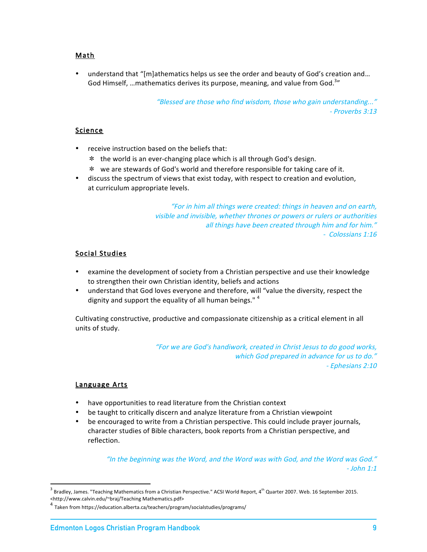### Math

• understand that "[m]athematics helps us see the order and beauty of God's creation and… God Himself, ...mathematics derives its purpose, meaning, and value from God.<sup>3</sup>"

> "Blessed are those who find wisdom, those who gain understanding..." - Proverbs 3:13

### Science

- receive instruction based on the beliefs that:
	- the world is an ever-changing place which is all through God's design.
	- we are stewards of God's world and therefore responsible for taking care of it.
- discuss the spectrum of views that exist today, with respect to creation and evolution, at curriculum appropriate levels.

"For in him all things were created: things in heaven and on earth, visible and invisible, whether thrones or powers or rulers or authorities all things have been created through him and for him." - Colossians 1:16

### Social Studies

- examine the development of society from a Christian perspective and use their knowledge to strengthen their own Christian identity, beliefs and actions
- understand that God loves everyone and therefore, will "value the diversity, respect the dignity and support the equality of all human beings."<sup>4</sup>

Cultivating constructive, productive and compassionate citizenship as a critical element in all units of study.

> "For we are God's handiwork, created in Christ Jesus to do good works, which God prepared in advance for us to do." - Ephesians 2:10

#### Language Arts

- have opportunities to read literature from the Christian context
- be taught to critically discern and analyze literature from a Christian viewpoint
- be encouraged to write from a Christian perspective. This could include prayer journals, character studies of Bible characters, book reports from a Christian perspective, and reflection.

"In the beginning was the Word, and the Word was with God, and the Word was God." - John 1:1

 $3$  Bradley, James. "Teaching Mathematics from a Christian Perspective." ACSI World Report, 4<sup>th</sup> Quarter 2007. Web. 16 September 2015. <http://www.calvin.edu/~braj/Teaching Mathematics.pdf>

 $^4$  Taken from https://education.alberta.ca/teachers/program/socialstudies/programs/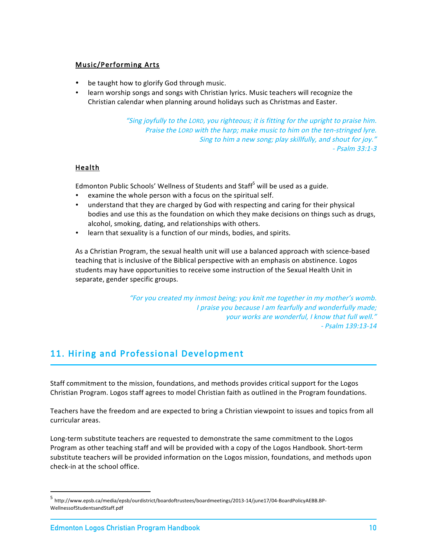### Music/Performing Arts

- be taught how to glorify God through music.
- learn worship songs and songs with Christian lyrics. Music teachers will recognize the Christian calendar when planning around holidays such as Christmas and Easter.

"Sing joyfully to the LORD, you righteous; it is fitting for the upright to praise him. Praise the LORD with the harp; make music to him on the ten-stringed lyre. Sing to him a new song; play skillfully, and shout for joy." - Psalm 33:1-3

### Health

Edmonton Public Schools' Wellness of Students and Staff<sup>5</sup> will be used as a guide.

- examine the whole person with a focus on the spiritual self.
- understand that they are charged by God with respecting and caring for their physical bodies and use this as the foundation on which they make decisions on things such as drugs, alcohol, smoking, dating, and relationships with others.
- learn that sexuality is a function of our minds, bodies, and spirits.

As a Christian Program, the sexual health unit will use a balanced approach with science-based teaching that is inclusive of the Biblical perspective with an emphasis on abstinence. Logos students may have opportunities to receive some instruction of the Sexual Health Unit in separate, gender specific groups.

> "For you created my inmost being; you knit me together in my mother's womb. I praise you because I am fearfully and wonderfully made; your works are wonderful, I know that full well." - Psalm 139:13-14

# 11. Hiring and Professional Development

Staff commitment to the mission, foundations, and methods provides critical support for the Logos Christian Program. Logos staff agrees to model Christian faith as outlined in the Program foundations.

Teachers have the freedom and are expected to bring a Christian viewpoint to issues and topics from all curricular areas.

Long-term substitute teachers are requested to demonstrate the same commitment to the Logos Program as other teaching staff and will be provided with a copy of the Logos Handbook. Short-term substitute teachers will be provided information on the Logos mission, foundations, and methods upon check-in at the school office.

 <sup>5</sup> http://www.epsb.ca/media/epsb/ourdistrict/boardoftrustees/boardmeetings/2013-14/june17/04-BoardPolicyAEBB.BP-WellnessofStudentsandStaff.pdf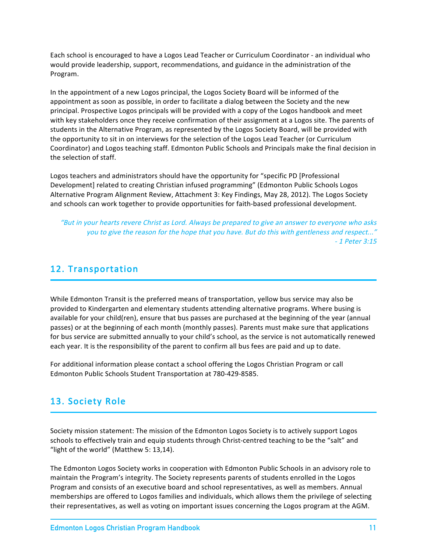Each school is encouraged to have a Logos Lead Teacher or Curriculum Coordinator - an individual who would provide leadership, support, recommendations, and guidance in the administration of the Program.

In the appointment of a new Logos principal, the Logos Society Board will be informed of the appointment as soon as possible, in order to facilitate a dialog between the Society and the new principal. Prospective Logos principals will be provided with a copy of the Logos handbook and meet with key stakeholders once they receive confirmation of their assignment at a Logos site. The parents of students in the Alternative Program, as represented by the Logos Society Board, will be provided with the opportunity to sit in on interviews for the selection of the Logos Lead Teacher (or Curriculum Coordinator) and Logos teaching staff. Edmonton Public Schools and Principals make the final decision in the selection of staff.

Logos teachers and administrators should have the opportunity for "specific PD [Professional Development] related to creating Christian infused programming" (Edmonton Public Schools Logos Alternative Program Alignment Review, Attachment 3: Key Findings, May 28, 2012). The Logos Society and schools can work together to provide opportunities for faith-based professional development.

"But in your hearts revere Christ as Lord. Always be prepared to give an answer to everyone who asks you to give the reason for the hope that you have. But do this with gentleness and respect..." - 1 Peter 3:15

## 12. Transportation

While Edmonton Transit is the preferred means of transportation, yellow bus service may also be provided to Kindergarten and elementary students attending alternative programs. Where busing is available for your child(ren), ensure that bus passes are purchased at the beginning of the year (annual passes) or at the beginning of each month (monthly passes). Parents must make sure that applications for bus service are submitted annually to your child's school, as the service is not automatically renewed each year. It is the responsibility of the parent to confirm all bus fees are paid and up to date.

For additional information please contact a school offering the Logos Christian Program or call Edmonton Public Schools Student Transportation at 780-429-8585.

# 13. Society Role

Society mission statement: The mission of the Edmonton Logos Society is to actively support Logos schools to effectively train and equip students through Christ-centred teaching to be the "salt" and "light of the world" (Matthew 5: 13,14).

The Edmonton Logos Society works in cooperation with Edmonton Public Schools in an advisory role to maintain the Program's integrity. The Society represents parents of students enrolled in the Logos Program and consists of an executive board and school representatives, as well as members. Annual memberships are offered to Logos families and individuals, which allows them the privilege of selecting their representatives, as well as voting on important issues concerning the Logos program at the AGM.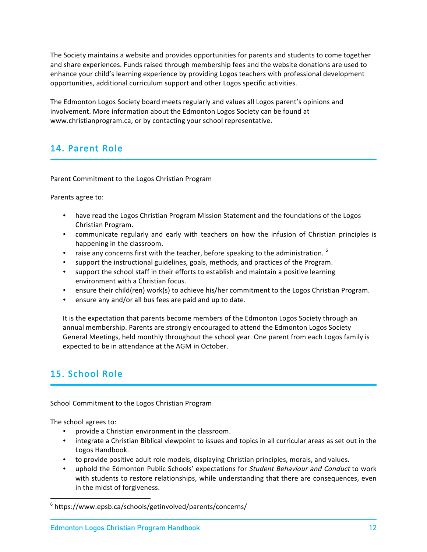The Society maintains a website and provides opportunities for parents and students to come together and share experiences. Funds raised through membership fees and the website donations are used to enhance your child's learning experience by providing Logos teachers with professional development opportunities, additional curriculum support and other Logos specific activities.

The Edmonton Logos Society board meets regularly and values all Logos parent's opinions and involvement. More information about the Edmonton Logos Society can be found at www.christianprogram.ca, or by contacting your school representative.

# 14. Parent Role

Parent Commitment to the Logos Christian Program

Parents agree to:

- have read the Logos Christian Program Mission Statement and the foundations of the Logos Christian Program.
- communicate regularly and early with teachers on how the infusion of Christian principles is happening in the classroom.
- raise any concerns first with the teacher, before speaking to the administration.  $6$
- support the instructional guidelines, goals, methods, and practices of the Program.
- support the school staff in their efforts to establish and maintain a positive learning environment with a Christian focus.
- ensure their child(ren) work(s) to achieve his/her commitment to the Logos Christian Program.
- ensure any and/or all bus fees are paid and up to date.

It is the expectation that parents become members of the Edmonton Logos Society through an annual membership. Parents are strongly encouraged to attend the Edmonton Logos Society General Meetings, held monthly throughout the school year. One parent from each Logos family is expected to be in attendance at the AGM in October.

# 15. School Role

School Commitment to the Logos Christian Program

The school agrees to:

- provide a Christian environment in the classroom.
- integrate a Christian Biblical viewpoint to issues and topics in all curricular areas as set out in the Logos Handbook.
- to provide positive adult role models, displaying Christian principles, morals, and values.
- uphold the Edmonton Public Schools' expectations for *Student Behaviour and Conduct* to work with students to restore relationships, while understanding that there are consequences, even in the midst of forgiveness.

 <sup>6</sup> https://www.epsb.ca/schools/getinvolved/parents/concerns/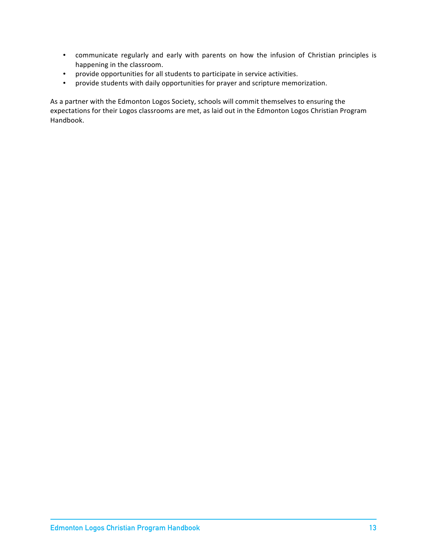- communicate regularly and early with parents on how the infusion of Christian principles is happening in the classroom.
- provide opportunities for all students to participate in service activities.
- provide students with daily opportunities for prayer and scripture memorization.

As a partner with the Edmonton Logos Society, schools will commit themselves to ensuring the expectations for their Logos classrooms are met, as laid out in the Edmonton Logos Christian Program Handbook.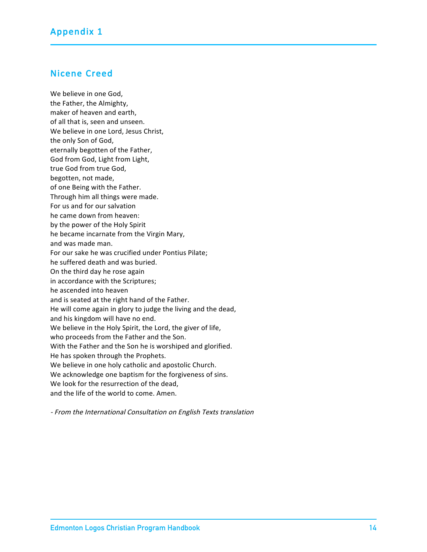### Nicene Creed

We believe in one God, the Father, the Almighty, maker of heaven and earth, of all that is, seen and unseen. We believe in one Lord, Jesus Christ, the only Son of God, eternally begotten of the Father, God from God, Light from Light, true God from true God, begotten, not made, of one Being with the Father. Through him all things were made. For us and for our salvation he came down from heaven: by the power of the Holy Spirit he became incarnate from the Virgin Mary, and was made man. For our sake he was crucified under Pontius Pilate; he suffered death and was buried. On the third day he rose again in accordance with the Scriptures; he ascended into heaven and is seated at the right hand of the Father. He will come again in glory to judge the living and the dead, and his kingdom will have no end. We believe in the Holy Spirit, the Lord, the giver of life, who proceeds from the Father and the Son. With the Father and the Son he is worshiped and glorified. He has spoken through the Prophets. We believe in one holy catholic and apostolic Church. We acknowledge one baptism for the forgiveness of sins. We look for the resurrection of the dead, and the life of the world to come. Amen.

- From the International Consultation on English Texts translation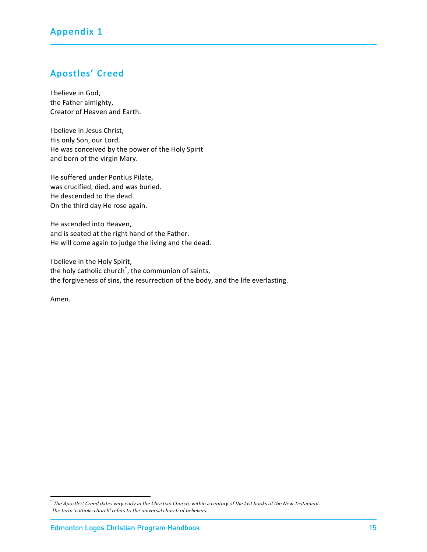# Apostles' Creed

I believe in God, the Father almighty, Creator of Heaven and Earth.

I believe in Jesus Christ, His only Son, our Lord. He was conceived by the power of the Holy Spirit and born of the virgin Mary.

He suffered under Pontius Pilate, was crucified, died, and was buried. He descended to the dead. On the third day He rose again.

He ascended into Heaven, and is seated at the right hand of the Father. He will come again to judge the living and the dead.

I believe in the Holy Spirit, the holy catholic church\* , the communion of saints, the forgiveness of sins, the resurrection of the body, and the life everlasting.

Amen.

 <sup>\*</sup> The Apostles' Creed dates very early in the Christian Church, within a century of the last books of the New Testament. The term 'catholic church' refers to the universal church of believers.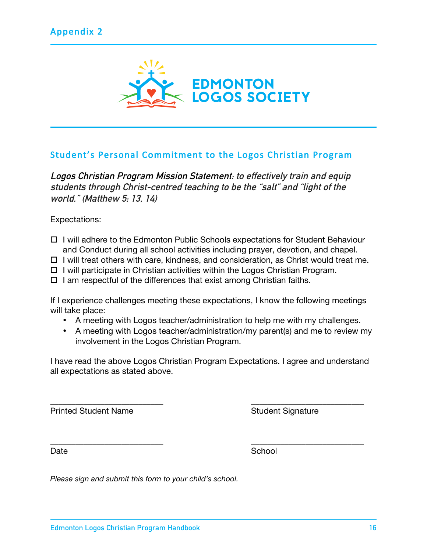

## Student's Personal Commitment to the Logos Christian Program

**Logos Christian Program Mission Statement: to effectively train and equip students through Christ-centred teaching to be the "salt" and "light of the world." (Matthew 5: 13, 14)**

Expectations:

- $\Box$  I will adhere to the Edmonton Public Schools expectations for Student Behaviour and Conduct during all school activities including prayer, devotion, and chapel.
- $\Box$  I will treat others with care, kindness, and consideration, as Christ would treat me.
- $\Box$  I will participate in Christian activities within the Logos Christian Program.
- $\Box$  I am respectful of the differences that exist among Christian faiths.

If I experience challenges meeting these expectations, I know the following meetings will take place:

- A meeting with Logos teacher/administration to help me with my challenges.
- A meeting with Logos teacher/administration/my parent(s) and me to review my involvement in the Logos Christian Program.

I have read the above Logos Christian Program Expectations. I agree and understand all expectations as stated above.

\_\_\_\_\_\_\_\_\_\_\_\_\_\_\_\_\_\_\_\_\_\_\_\_\_\_\_ \_\_\_\_\_\_\_\_\_\_\_\_\_\_\_\_\_\_\_\_\_\_\_\_\_\_\_

\_\_\_\_\_\_\_\_\_\_\_\_\_\_\_\_\_\_\_\_\_\_\_\_\_\_\_ \_\_\_\_\_\_\_\_\_\_\_\_\_\_\_\_\_\_\_\_\_\_\_\_\_\_\_

Printed Student Name Student Signature

Date School and the School and the School

*Please sign and submit this form to your child's school.*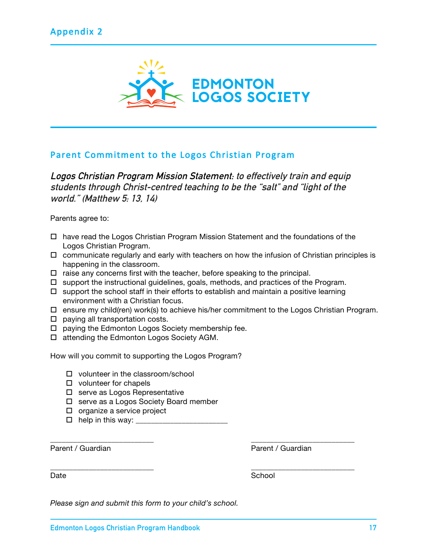

### Parent Commitment to the Logos Christian Program

**Logos Christian Program Mission Statement: to effectively train and equip students through Christ-centred teaching to be the "salt" and "light of the world." (Matthew 5: 13, 14)**

Parents agree to:

- $\Box$  have read the Logos Christian Program Mission Statement and the foundations of the Logos Christian Program.
- $\Box$  communicate regularly and early with teachers on how the infusion of Christian principles is happening in the classroom.
- $\Box$  raise any concerns first with the teacher, before speaking to the principal.
- $\Box$  support the instructional guidelines, goals, methods, and practices of the Program.
- $\Box$  support the school staff in their efforts to establish and maintain a positive learning environment with a Christian focus.

\_\_\_\_\_\_\_\_\_\_\_\_\_\_\_\_\_\_\_\_\_\_\_\_\_\_\_ \_\_\_\_\_\_\_\_\_\_\_\_\_\_\_\_\_\_\_\_\_\_\_\_\_\_\_

\_\_\_\_\_\_\_\_\_\_\_\_\_\_\_\_\_\_\_\_\_\_\_\_\_\_\_ \_\_\_\_\_\_\_\_\_\_\_\_\_\_\_\_\_\_\_\_\_\_\_\_\_\_\_

- $\Box$  ensure my child(ren) work(s) to achieve his/her commitment to the Logos Christian Program.
- $\Box$  paying all transportation costs.
- $\Box$  paying the Edmonton Logos Society membership fee.
- $\Box$  attending the Edmonton Logos Society AGM.

How will you commit to supporting the Logos Program?

- $\Box$  volunteer in the classroom/school
- $\Box$  volunteer for chapels
- $\Box$  serve as Logos Representative
- $\Box$  serve as a Logos Society Board member
- $\Box$  organize a service project
- $\Box$  help in this way:  $\Box$

Parent / Guardian **Parent / Guardian** Parent / Guardian

Date **School** 

*Please sign and submit this form to your child's school.*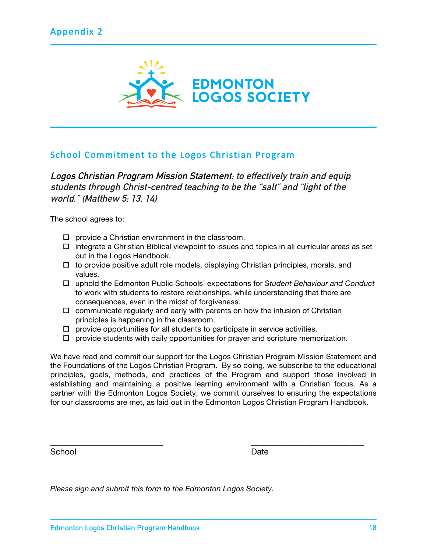

## School Commitment to the Logos Christian Program

**Logos Christian Program Mission Statement: to effectively train and equip students through Christ-centred teaching to be the "salt" and "light of the world." (Matthew 5: 13, 14)**

The school agrees to:

- $\Box$  provide a Christian environment in the classroom.
- $\Box$  integrate a Christian Biblical viewpoint to issues and topics in all curricular areas as set out in the Logos Handbook.
- $\Box$  to provide positive adult role models, displaying Christian principles, morals, and values.
- ! uphold the Edmonton Public Schools' expectations for *Student Behaviour and Conduct* to work with students to restore relationships, while understanding that there are consequences, even in the midst of forgiveness.
- $\Box$  communicate regularly and early with parents on how the infusion of Christian principles is happening in the classroom.
- $\Box$  provide opportunities for all students to participate in service activities.
- $\Box$  provide students with daily opportunities for prayer and scripture memorization.

We have read and commit our support for the Logos Christian Program Mission Statement and the Foundations of the Logos Christian Program. By so doing, we subscribe to the educational principles, goals, methods, and practices of the Program and support those involved in establishing and maintaining a positive learning environment with a Christian focus. As a partner with the Edmonton Logos Society, we commit ourselves to ensuring the expectations for our classrooms are met, as laid out in the Edmonton Logos Christian Program Handbook.

\_\_\_\_\_\_\_\_\_\_\_\_\_\_\_\_\_\_\_\_\_\_\_\_\_\_\_ \_\_\_\_\_\_\_\_\_\_\_\_\_\_\_\_\_\_\_\_\_\_\_\_\_\_\_

School Date Date Date Date

*Please sign and submit this form to the Edmonton Logos Society.*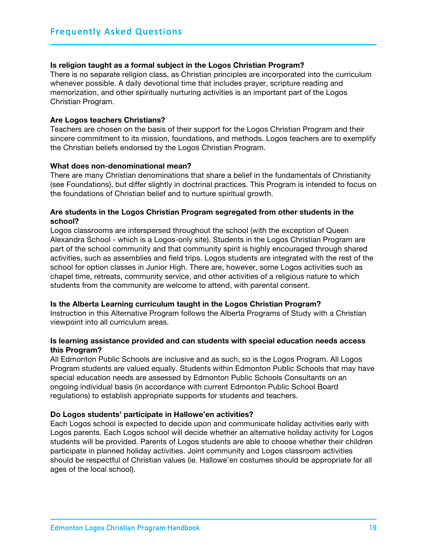### **Is religion taught as a formal subject in the Logos Christian Program?**

There is no separate religion class, as Christian principles are incorporated into the curriculum whenever possible. A daily devotional time that includes prayer, scripture reading and memorization, and other spiritually nurturing activities is an important part of the Logos Christian Program.

### **Are Logos teachers Christians?**

Teachers are chosen on the basis of their support for the Logos Christian Program and their sincere commitment to its mission, foundations, and methods. Logos teachers are to exemplify the Christian beliefs endorsed by the Logos Christian Program.

### **What does non-denominational mean?**

There are many Christian denominations that share a belief in the fundamentals of Christianity (see Foundations), but differ slightly in doctrinal practices. This Program is intended to focus on the foundations of Christian belief and to nurture spiritual growth.

### **Are students in the Logos Christian Program segregated from other students in the school?**

Logos classrooms are interspersed throughout the school (with the exception of Queen Alexandra School - which is a Logos-only site). Students in the Logos Christian Program are part of the school community and that community spirit is highly encouraged through shared activities, such as assemblies and field trips. Logos students are integrated with the rest of the school for option classes in Junior High. There are, however, some Logos activities such as chapel time, retreats, community service, and other activities of a religious nature to which students from the community are welcome to attend, with parental consent.

### **Is the Alberta Learning curriculum taught in the Logos Christian Program?**

Instruction in this Alternative Program follows the Alberta Programs of Study with a Christian viewpoint into all curriculum areas.

### **Is learning assistance provided and can students with special education needs access this Program?**

All Edmonton Public Schools are inclusive and as such, so is the Logos Program. All Logos Program students are valued equally. Students within Edmonton Public Schools that may have special education needs are assessed by Edmonton Public Schools Consultants on an ongoing individual basis (in accordance with current Edmonton Public School Board regulations) to establish appropriate supports for students and teachers.

### **Do Logos students' participate in Hallowe'en activities?**

Each Logos school is expected to decide upon and communicate holiday activities early with Logos parents. Each Logos school will decide whether an alternative holiday activity for Logos students will be provided. Parents of Logos students are able to choose whether their children participate in planned holiday activities. Joint community and Logos classroom activities should be respectful of Christian values (ie. Hallowe'en costumes should be appropriate for all ages of the local school).